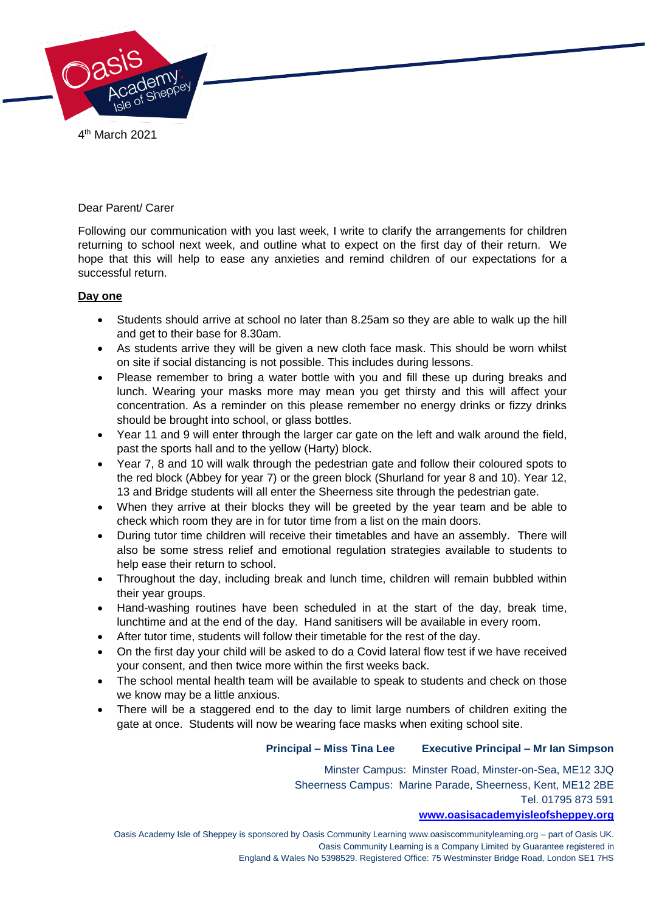

4 th March 2021

#### Dear Parent/ Carer

Following our communication with you last week, I write to clarify the arrangements for children returning to school next week, and outline what to expect on the first day of their return. We hope that this will help to ease any anxieties and remind children of our expectations for a successful return.

# **Day one**

- Students should arrive at school no later than 8.25am so they are able to walk up the hill and get to their base for 8.30am.
- As students arrive they will be given a new cloth face mask. This should be worn whilst on site if social distancing is not possible. This includes during lessons.
- Please remember to bring a water bottle with you and fill these up during breaks and lunch. Wearing your masks more may mean you get thirsty and this will affect your concentration. As a reminder on this please remember no energy drinks or fizzy drinks should be brought into school, or glass bottles.
- Year 11 and 9 will enter through the larger car gate on the left and walk around the field, past the sports hall and to the yellow (Harty) block.
- Year 7, 8 and 10 will walk through the pedestrian gate and follow their coloured spots to the red block (Abbey for year 7) or the green block (Shurland for year 8 and 10). Year 12, 13 and Bridge students will all enter the Sheerness site through the pedestrian gate.
- When they arrive at their blocks they will be greeted by the year team and be able to check which room they are in for tutor time from a list on the main doors.
- During tutor time children will receive their timetables and have an assembly. There will also be some stress relief and emotional regulation strategies available to students to help ease their return to school.
- Throughout the day, including break and lunch time, children will remain bubbled within their year groups.
- Hand-washing routines have been scheduled in at the start of the day, break time, lunchtime and at the end of the day. Hand sanitisers will be available in every room.
- After tutor time, students will follow their timetable for the rest of the day.
- On the first day your child will be asked to do a Covid lateral flow test if we have received your consent, and then twice more within the first weeks back.
- The school mental health team will be available to speak to students and check on those we know may be a little anxious.
- There will be a staggered end to the day to limit large numbers of children exiting the gate at once. Students will now be wearing face masks when exiting school site.

# **Principal – Miss Tina Lee Executive Principal – Mr Ian Simpson**

Minster Campus: Minster Road, Minster-on-Sea, ME12 3JQ Sheerness Campus: Marine Parade, Sheerness, Kent, ME12 2BE Tel. 01795 873 591

#### **[www.oasisacademyisleofsheppey.org](http://www.oasisacademyisleofsheppey.org/)**

Oasis Academy Isle of Sheppey is sponsored by Oasis Community Learning www.oasiscommunitylearning.org – part of Oasis UK. Oasis Community Learning is a Company Limited by Guarantee registered in England & Wales No 5398529. Registered Office: 75 Westminster Bridge Road, London SE1 7HS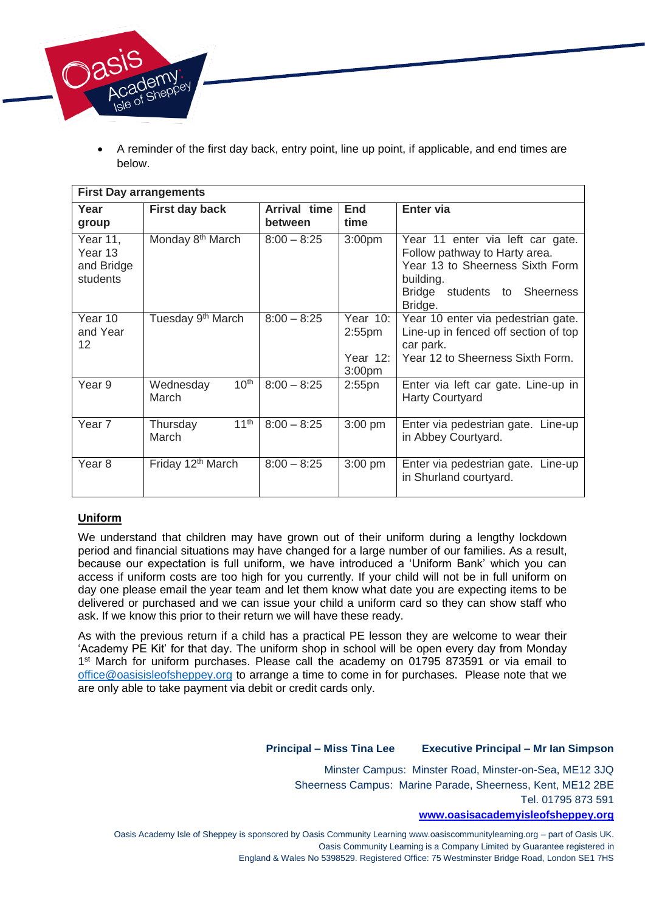

 A reminder of the first day back, entry point, line up point, if applicable, and end times are below.

| <b>First Day arrangements</b>                 |                                        |                         |                                                               |                                                                                                                                                              |
|-----------------------------------------------|----------------------------------------|-------------------------|---------------------------------------------------------------|--------------------------------------------------------------------------------------------------------------------------------------------------------------|
| Year<br>group                                 | <b>First day back</b>                  | Arrival time<br>between | <b>End</b><br>time                                            | Enter via                                                                                                                                                    |
| Year 11,<br>Year 13<br>and Bridge<br>students | Monday 8 <sup>th</sup> March           | $8:00 - 8:25$           | 3:00 <sub>pm</sub>                                            | Year 11 enter via left car gate.<br>Follow pathway to Harty area.<br>Year 13 to Sheerness Sixth Form<br>building.<br>Bridge students to Sheerness<br>Bridge. |
| Year 10<br>and Year<br>12                     | Tuesday 9 <sup>th</sup> March          | $8:00 - 8:25$           | Year $10$ :<br>$2:55$ pm<br>Year $12$ :<br>3:00 <sub>pm</sub> | Year 10 enter via pedestrian gate.<br>Line-up in fenced off section of top<br>car park.<br>Year 12 to Sheerness Sixth Form.                                  |
| Year 9                                        | 10 <sup>th</sup><br>Wednesday<br>March | $8:00 - 8:25$           | $2:55$ pn                                                     | Enter via left car gate. Line-up in<br><b>Harty Courtyard</b>                                                                                                |
| Year 7                                        | 11 <sup>th</sup><br>Thursday<br>March  | $8:00 - 8:25$           | 3:00 pm                                                       | Enter via pedestrian gate. Line-up<br>in Abbey Courtyard.                                                                                                    |
| Year <sub>8</sub>                             | Friday 12 <sup>th</sup> March          | $8:00 - 8:25$           | $3:00$ pm                                                     | Enter via pedestrian gate. Line-up<br>in Shurland courtyard.                                                                                                 |

# **Uniform**

We understand that children may have grown out of their uniform during a lengthy lockdown period and financial situations may have changed for a large number of our families. As a result, because our expectation is full uniform, we have introduced a 'Uniform Bank' which you can access if uniform costs are too high for you currently. If your child will not be in full uniform on day one please email the year team and let them know what date you are expecting items to be delivered or purchased and we can issue your child a uniform card so they can show staff who ask. If we know this prior to their return we will have these ready.

As with the previous return if a child has a practical PE lesson they are welcome to wear their 'Academy PE Kit' for that day. The uniform shop in school will be open every day from Monday 1<sup>st</sup> March for uniform purchases. Please call the academy on 01795 873591 or via email to [office@oasisisleofsheppey.org](mailto:office@oasisisleofsheppey.org) to arrange a time to come in for purchases. Please note that we are only able to take payment via debit or credit cards only.

# **Principal – Miss Tina Lee Executive Principal – Mr Ian Simpson**

Minster Campus: Minster Road, Minster-on-Sea, ME12 3JQ Sheerness Campus: Marine Parade, Sheerness, Kent, ME12 2BE Tel. 01795 873 591

#### **[www.oasisacademyisleofsheppey.org](http://www.oasisacademyisleofsheppey.org/)**

Oasis Academy Isle of Sheppey is sponsored by Oasis Community Learning www.oasiscommunitylearning.org – part of Oasis UK. Oasis Community Learning is a Company Limited by Guarantee registered in England & Wales No 5398529. Registered Office: 75 Westminster Bridge Road, London SE1 7HS